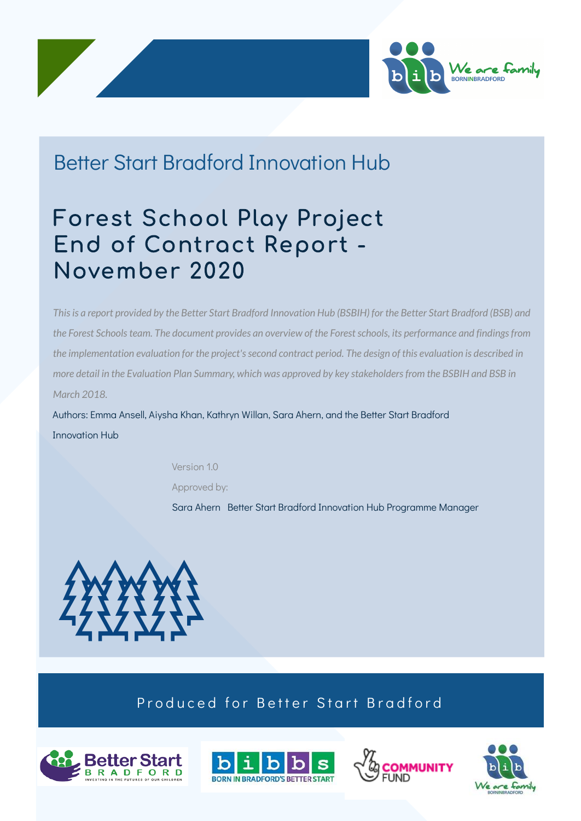



## Better Start Bradford Innovation Hub

Forest School Play Project End of Contract Report - November 2020

This is a report provided by the Better Start Bradford Innovation Hub (BSBIH) for the Better Start Bradford (BSB) and *the Forest Schoolsteam. The document provides an overview of the Forestschools, its performance and findingsfrom* the implementation evaluation for the project's second contract period. The design of this evaluation is described in more detail in the Evaluation Plan Summary, which was approved by key stakeholders from the BSBIH and BSB in *March 2018.*

Authors: Emma Ansell, Aiysha Khan, Kathryn Willan, Sara Ahern, and the Better Start Bradford Innovation Hub

Version 1.0

Approved by:

Sara Ahern Better Start Bradford Innovation Hub Programme Manager



#### Produced for Better Start Bradford







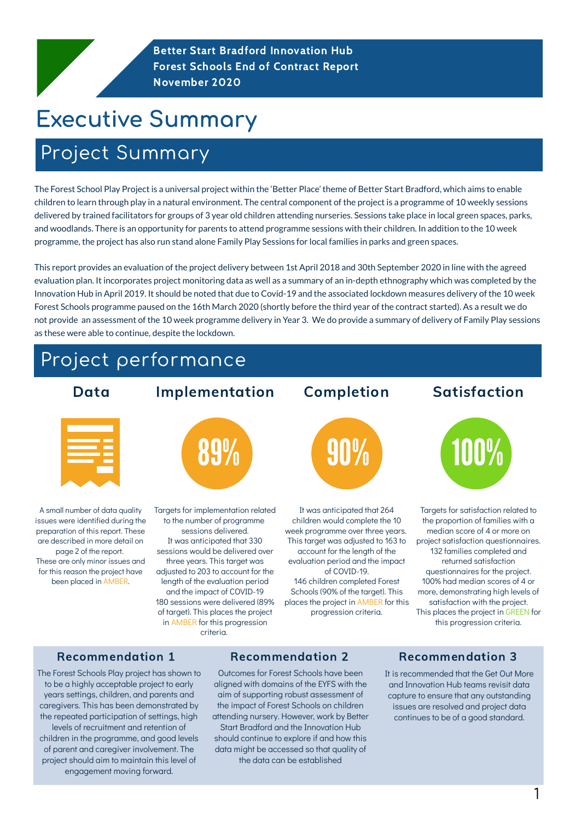## Project Summary

Better Start Bradford Innovation Hub Forest Schools End of Contract Report November 2020

# Executive Summary

The Forest School Play Project is a universal project within the 'Better Place' theme of Better Start Bradford, which aims to enable children to learn through play in a natural environment. The central component of the project is a programme of 10 weekly sessions delivered by trained facilitators for groups of 3 year old children attending nurseries. Sessions take place in local green spaces, parks, and woodlands. There is an opportunity for parents to attend programme sessions with their children. In addition to the 10 week programme, the project has also run stand alone Family Play Sessions for local families in parks and green spaces.

This report provides an evaluation of the project delivery between 1st April 2018 and 30th September 2020 in line with the agreed evaluation plan. It incorporates project monitoring data as well as a summary of an in-depth ethnography which was completed by the

Innovation Hub in April 2019. It should be noted that due to Covid-19 and the associated lockdown measures delivery of the 10 week Forest Schools programme paused on the 16th March 2020 (shortly before the third year of the contract started). As a result we do not provide an assessment of the 10 week programme delivery in Year 3. We do provide a summary of delivery of Family Play sessions as these were able to continue, despite the lockdown.

issues were identified during the preparation of this report. These are described in more detail on page 2 of the report. These are only minor issues and for this reason the project have

been placed in AMBER.

1

Outcomes for Forest Schools have been aligned with domains of the EYFS with the aim of supporting robust assessment of the impact of Forest Schools on children attending nursery. However, work by Better Start Bradford and the Innovation Hub should continue to explore if and how this data might be accessed so that quality of the data can be established



to the number of programme sessions delivered. It was anticipated that 330 sessions would be delivered over three years. This target was adjusted to 203 to account for the length of the evaluation period and the impact of COVID-19 180 sessions were delivered (89% of target). This places the project in AMBER for this progression criteria.

children would complete the 10 week programme over three years. This target was adjusted to 163 to account for the length of the evaluation period and the impact of COVID-19.

146 children completed Forest Schools (90% of the target). This places the project in AMBER for this progression criteria.

Targets for satisfaction related to the proportion of families with a median score of 4 or more on project satisfaction questionnaires. 132 families completed and returned satisfaction questionnaires for the project. 100% had median scores of 4 or more, demonstrating high levels of satisfaction with the project. This places the project in GREEN for this progression criteria.

It is recommended that the Get Out More and Innovation Hub teams revisit data capture to ensure that any outstanding issues are resolved and project data continues to be of a good standard.

The Forest Schools Play project has shown to to be a highly acceptable project to early years settings, children, and parents and caregivers. This has been demonstrated by the repeated participation of settings, high levels of recruitment and retention of children in the programme, and good levels of parent and caregiver involvement. The project should aim to maintain this level of engagement moving forward.

#### Recommendation 1 Recommendation 2 Recommendation 3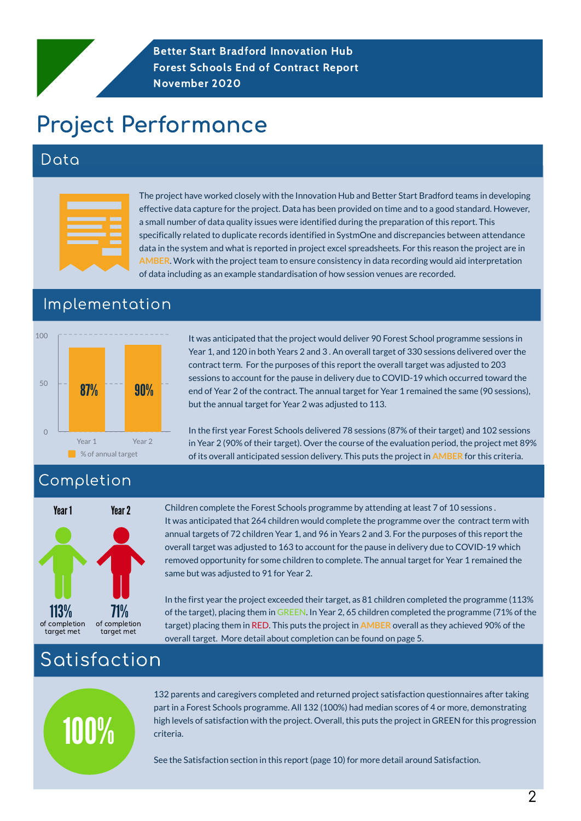#### Data

# Project Performance

The project have worked closely with the Innovation Hub and Better Start Bradford teams in developing effective data capture for the project. Data has been provided on time and to a good standard. However, a small number of data quality issues were identified during the preparation of this report. This specifically related to duplicate records identified in SystmOne and discrepancies between attendance data in the system and what is reported in project excel spreadsheets. For this reason the project are in **AMBER**. Work with the project team to ensure consistency in data recording would aid interpretation of data including as an example standardisation of how session venues are recorded.

#### Completion

## Satisfaction

It was anticipated that the project would deliver 90 Forest School programme sessions in Year 1, and 120 in both Years 2 and 3 . An overall target of 330 sessions delivered over the contract term. For the purposes of this report the overall target was adjusted to 203 sessions to account for the pause in delivery due to COVID-19 which occurred toward the end of Year 2 of the contract. The annual target for Year 1 remained the same (90 sessions), but the annual target for Year 2 was adjusted to 113.

In the first year Forest Schools delivered 78 sessions (87% of their target) and 102 sessions in Year 2 (90% of their target). Over the course of the evaluation period, the project met 89% of its overall anticipated session delivery. This puts the project in **AMBER** for this criteria.

132 parents and caregivers completed and returned project satisfaction questionnaires after taking part in a Forest Schools programme. All 132 (100%) had median scores of 4 or more, demonstrating high levels of satisfaction with the project. Overall, this puts the project in GREEN for this progression criteria.

See the Satisfaction section in this report (page 10) for more detail around Satisfaction.

#### Implementation

Better Start Bradford Innovation Hub Forest Schools End of Contract Report November 2020

100%

Children complete the Forest Schools programme by attending at least 7 of 10 sessions . It was anticipated that 264 children would complete the programme over the contract term with annual targets of 72 children Year 1, and 96 in Years 2 and 3. For the purposes of this report the overall target was adjusted to 163 to account for the pause in delivery due to COVID-19 which removed opportunity for some children to complete. The annual target for Year 1 remained the same but was adjusted to 91 for Year 2.



113% 71% of completion target met

In the first year the project exceeded their target, as 81 children completed the programme (113%

of the target), placing them in GREEN. In Year 2, 65 children completed the programme (71% of the

target) placing them in RED. This puts the project in **AMBER** overall as they achieved 90% of the

overall target. More detail about completion can be found on page 5.



of completion target met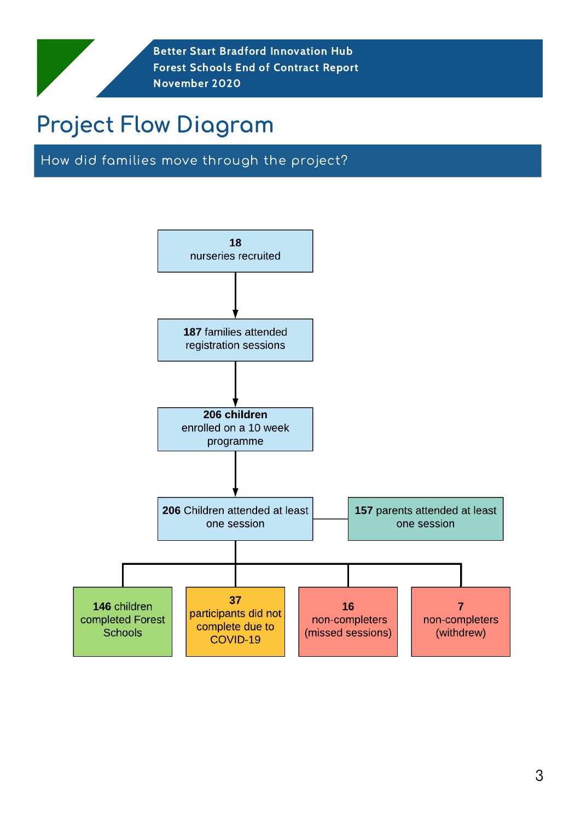How did families move through the project?

18 nurseries recruited



146 children completed Forest **Schools** 

37 participants did not complete due to COVID-19

**16** non-completers (missed sessions)

non-completers (withdrew)

# Project Flow Diagram

3

Better Start Bradford Innovation Hub Forest Schools End of Contract Report November 2020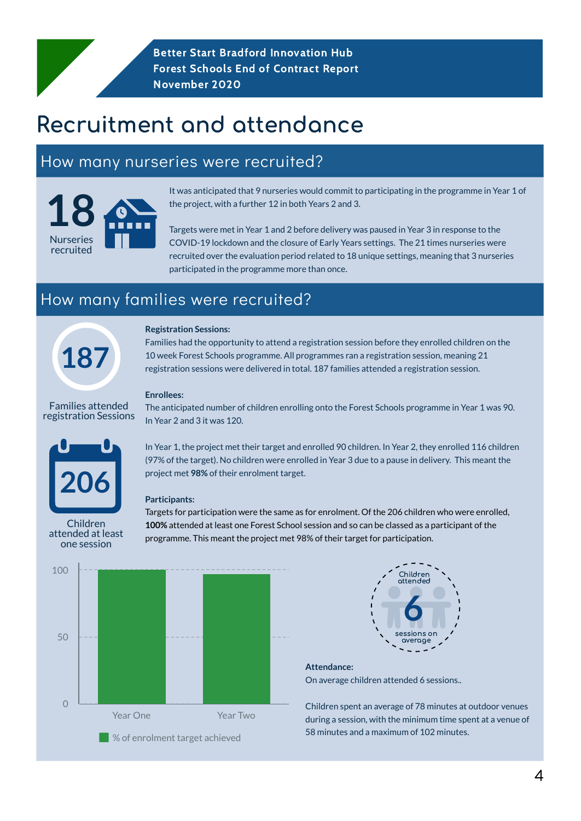**Better Start Bradford Innovation Hub** Forest Schools End of Contract Report November 2020

# Recruitment and attendance

## How many nurseries were recruited?



## How many families were recruited?

# **187**

**Registration Sessions:**

Families had the opportunity to attend a registration session before they enrolled children on the 10 week Forest Schools programme. All programmes ran a registration session, meaning 21 registration sessions were delivered in total. 187 families attended a registration session.

#### **Enrollees:**

The anticipated number of children enrolling onto the Forest Schools programme in Year 1 was 90.

In Year 2 and 3 it was 120.

It was anticipated that 9 nurseries would commit to participating in the programme in Year 1 of the project, with a further 12 in both Years 2 and 3.

In Year 1, the project met their target and enrolled 90 children. In Year 2, they enrolled 116 children (97% of the target). No children were enrolled in Year 3 due to a pause in delivery. This meant the project met **98%** of their enrolment target.

#### **Participants:**

Targets for participation were the same as for enrolment. Of the 206 children who were enrolled, **100%** attended at least one Forest School session and so can be classed as a participant of the programme. This meant the project met 98% of their target for participation.

Families attended registration Sessions

Targets were met in Year 1 and 2 before delivery was paused in Year 3 in response to the COVID-19 lockdown and the closure of Early Years settings. The 21 times nurseries were recruited over the evaluation period related to 18 unique settings, meaning that 3 nurseries participated in the programme more than once.

Children attended at least one session





#### **Attendance:**

On average children attended 6 sessions..

Children spent an average of 78 minutes at outdoor venues during a session, with the minimum time spent at a venue of 58 minutes and a maximum of 102 minutes.

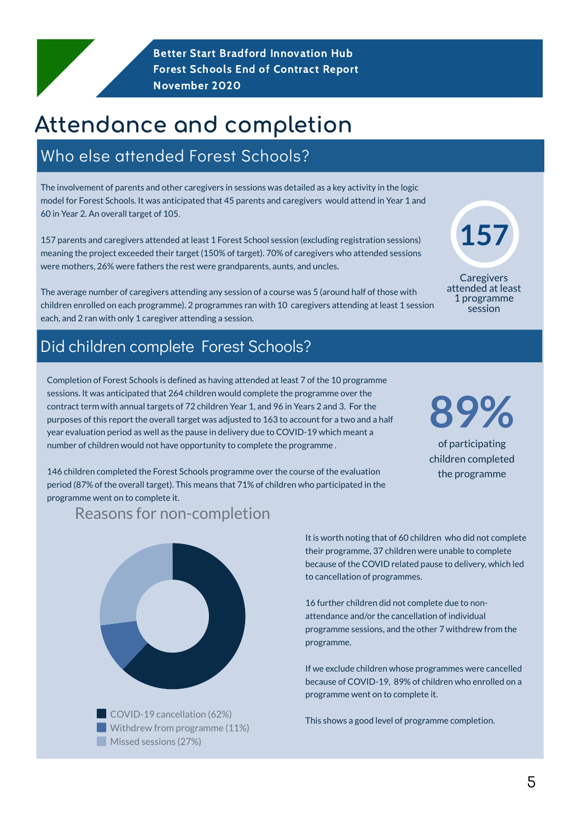Better Start Bradford Innovation Hub Forest Schools End of Contract Report November 2020

## Who else attended Forest Schools?

The involvement of parents and other caregivers in sessions was detailed as a key activity in the logic model for Forest Schools. It was anticipated that 45 parents and caregivers would attend in Year 1 and 60 in Year 2. An overall target of 105.

157 parents and caregivers attended at least 1 Forest School session (excluding registration sessions) meaning the project exceeded their target (150% of target). 70% of caregivers who attended sessions were mothers, 26% were fathers the rest were grandparents, aunts, and uncles.

The average number of caregivers attending any session of a course was 5 (around half of those with children enrolled on each programme). 2 programmes ran with 10 caregivers attending at least 1 session each, and 2 ran with only 1 caregiver attending a session.

**Caregivers** attended at least

Completion of Forest Schools is defined as having attended at least 7 of the 10 programme sessions. It was anticipated that 264 children would complete the programme over the contract term with annual targets of 72 children Year 1, and 96 in Years 2 and 3. For the purposes of this report the overall target was adjusted to 163 to account for a two and a half year evaluation period as well as the pause in delivery due to COVID-19 which meant a number of children would not have opportunity to complete the programme .

146 children completed the Forest Schools programme over the course of the evaluation period (87% of the overall target). This means that 71% of children who participated in the programme went on to complete it.

Reasons for non-completion



**89%**

of participating children completed the programme

COVID-19 cancellation (62%) Withdrew from programme (11%) Missed sessions (27%)

# Attendance and completion

**157**



#### Did children complete Forest Schools?

It is worth noting that of 60 children who did not complete their programme, 37 children were unable to complete because of the COVID related pause to delivery, which led to cancellation of programmes.

16 further children did not complete due to nonattendance and/or the cancellation of individual programme sessions, and the other 7 withdrew from the programme.

If we exclude children whose programmes were cancelled because of COVID-19, 89% of children who enrolled on a programme went on to complete it.

This shows a good level of programme completion.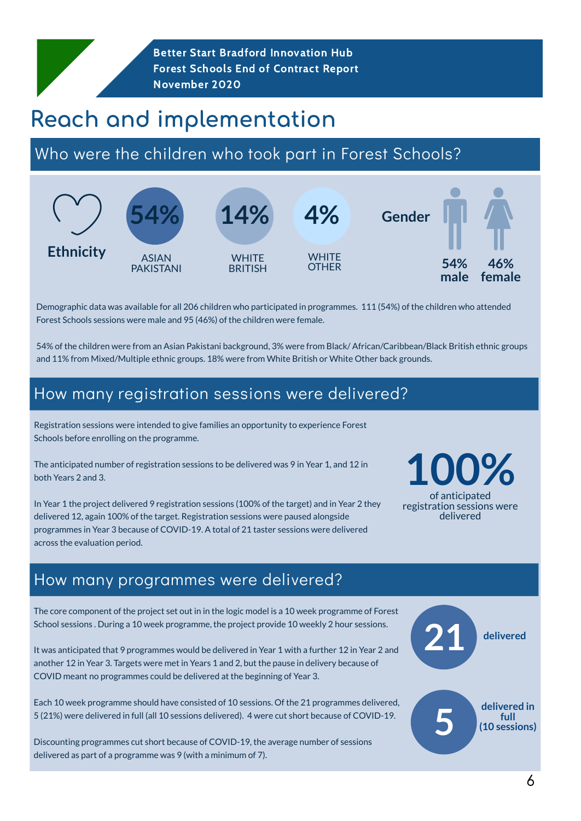Demographic data was available for all 206 children who participated in programmes. 111 (54%) of the children who attended Forest Schools sessions were male and 95 (46%) of the children were female.

54% of the children were from an Asian Pakistani background, 3% were from Black/ African/Caribbean/Black British ethnic groups and 11% from Mixed/Multiple ethnic groups. 18% were from White British or White Other back grounds.

Better Start Bradford Innovation Hub Forest Schools End of Contract Report November 2020

## Reach and implementation

## Who were the children who took part in Forest Schools?



#### How many registration sessions were delivered?

Registration sessions were intended to give families an opportunity to experience Forest Schools before enrolling on the programme.

The anticipated number of registration sessions to be delivered was 9 in Year 1, and 12 in both Years 2 and 3.

In Year 1 the project delivered 9 registration sessions (100% of the target) and in Year 2 they delivered 12, again 100% of the target. Registration sessions were paused alongside programmes in Year 3 because of COVID-19. A total of 21 taster sessions were delivered across the evaluation period.

# **1 0 0 %**

o f ant icipate d registration sessions were delivered

#### How many programmes were delivered?

The core component of the project set out in in the logic model is a 10 week programme of Forest School sessions . During a 10 week programme, the project provide 10 weekly 2 hour sessions.

It was anticipated that 9 programmes would be delivered in Year 1 with a further 12 in Year 2 and another 12 in Year 3. Targets were met in Years 1 and 2, but the pause in delivery because of COVID meant no programmes could be delivered at the beginning of Year 3.

Each 10 week programme should have consisted of 10 sessions. Of the 21 programmes delivered, 5 (21%) were delivered in full (all 10 sessions delivered). 4 were cut short because of COVID-19.

Discounting programmes cut short because of COVID-19, the average number of sessions delivered as part of a programme was 9 (with a minimum of 7).



 $\mathbf O$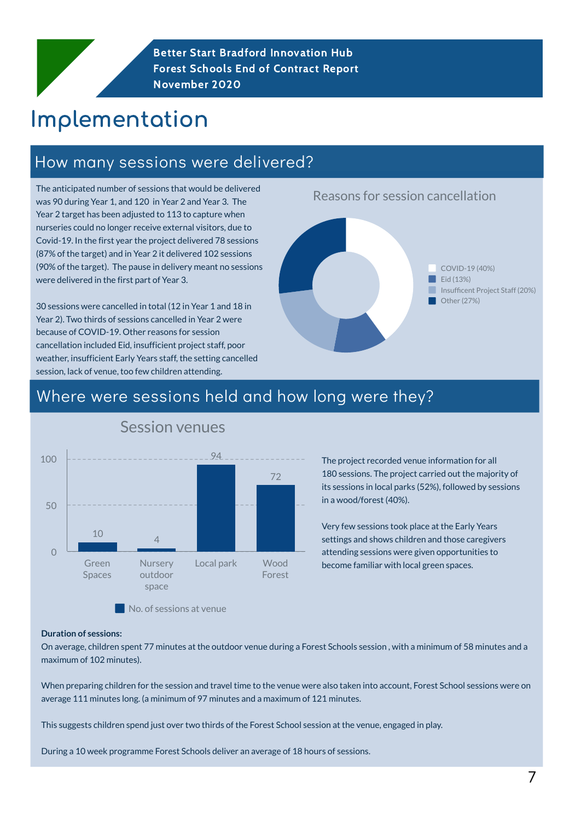The anticipated number of sessions that would be delivered was 90 during Year 1, and 120 in Year 2 and Year 3. The Year 2 target has been adjusted to 113 to capture when nurseries could no longer receive external visitors, due to Covid-19. In the first year the project delivered 78 sessions (87% of the target) and in Year 2 it delivered 102 sessions (90% of the target). The pause in delivery meant no sessions were delivered in the first part of Year 3.

30 sessions were cancelled in total (12 in Year 1 and 18 in Year 2). Two thirds of sessions cancelled in Year 2 were because of COVID-19. Other reasons for session cancellation included Eid, insufficient project staff, poor weather, insufficient Early Years staff, the setting cancelled session, lack of venue, too few children attending.

Better Start Bradford Innovation Hub Forest Schools End of Contract Report November 2020

## Implementation

7

#### How many sessions were delivered?

#### Reasons for session cancellation



Other (27%)

#### **Duration of sessions:**

On average, children spent 77 minutes at the outdoor venue during a Forest Schools session , with a minimum of 58 minutes and a maximum of 102 minutes).

When preparing children for the session and travel time to the venue were also taken into account, Forest School sessions were on average 111 minutes long. (a minimum of 97 minutes and a maximum of 121 minutes.

This suggests children spend just over two thirds of the Forest School session at the venue, engaged in play.

During a 10 week programme Forest Schools deliver an average of 18 hours of sessions.

#### Where were sessions held and how long were they?

#### Session venues

#### No. of sessions at venue

space



180 sessions. The project carried out the majority of its sessions in local parks (52%), followed by sessions in a wood/forest (40%).

Very few sessions took place at the Early Years settings and shows children and those caregivers attending sessions were given opportunities to become familiar with local green spaces.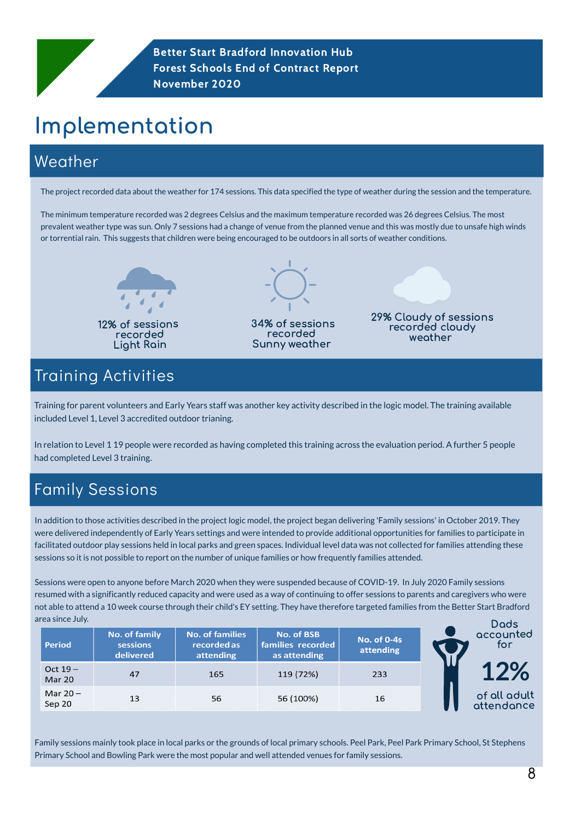8

Better Start Bradford Innovation Hub Forest Schools End of Contract Report November 2020

## Weather

# Implementation

Training for parent volunteers and Early Years staff was another key activity described in the logic model. The training available included Level 1, Level 3 accredited outdoor trianing.

In relation to Level 1 19 people were recorded as having completed this training across the evaluation period. A further 5 people had completed Level 3 training.

The project recorded data about the weather for 174 sessions. This data specified the type of weather during the session and the temperature.

The minimum temperature recorded was 2 degrees Celsius and the maximum temperature recorded was 26 degrees Celsius. The most prevalent weather type was sun. Only 7 sessions had a change of venue from the planned venue and this was mostly due to unsafe high winds or torrential rain. This suggests that children were being encouraged to be outdoors in all sorts of weather conditions.

> 29% Cloudy of sessions recorded cloudy weather

34% of sessions recorded Sunny weather



#### Training Activities

## Family Sessions

In addition to those activities described in the project logic model, the project began delivering 'Family sessions' in October 2019. They were delivered independently of Early Years settings and were intended to provide additional opportunities for families to participate in facilitated outdoor play sessions held in local parks and green spaces. Individual level data was not collected for families attending these sessions so it is not possible to report on the number of unique families or how frequently families attended.

Sessions were open to anyone before March 2020 when they were suspended because of COVID-19. In July 2020 Family sessions resumed with a significantly reduced capacity and were used as a way of continuing to offer sessions to parents and caregivers who were not able to attend a 10 week course through their child's EY setting. They have therefore targeted families from the Better Start Bradford area since July. Dads

Family sessions mainly took place in local parks or the grounds of local primary schools. Peel Park, Peel Park Primary School, St Stephens Primary School and Bowling Park were the most popular and well attended venues for family sessions.

| Period                     | No. of family<br>sessions<br>delivered | <b>No. of families</b><br>recorded as<br>attending | <b>No. of BSB</b><br>families recorded<br>as attending | <b>No. of 0-4s</b><br>attending | DUUS<br>accounted<br>for   |
|----------------------------|----------------------------------------|----------------------------------------------------|--------------------------------------------------------|---------------------------------|----------------------------|
| Oct $19-$<br><b>Mar 20</b> | 47                                     | 165                                                | 119 (72%)                                              | 233                             | 12%                        |
| Mar $20 -$<br>Sep 20       | 13                                     | 56                                                 | 56 (100%)                                              | 16                              | of all adult<br>attendance |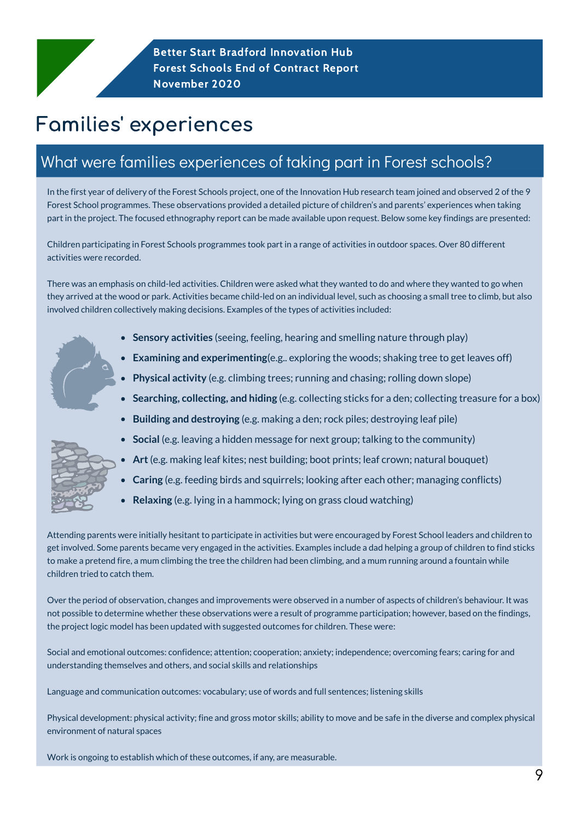9

Better Start Bradford Innovation Hub Forest Schools End of Contract Report November 2020

## Families' experiences

## What were families experiences of taking part in Forest schools?

In the first year of delivery of the Forest Schools project, one of the Innovation Hub research team joined and observed 2 of the 9 Forest School programmes. These observations provided a detailed picture of children's and parents' experiences when taking part in the project. The focused ethnography report can be made available upon request. Below some key findings are presented:

Children participating in Forest Schools programmes took part in a range of activities in outdoor spaces. Over 80 different activities were recorded.

There was an emphasis on child-led activities. Children were asked what they wanted to do and where they wanted to go when

they arrived at the wood or park. Activities became child-led on an individual level, such as choosing a small tree to climb, but also involved children collectively making decisions. Examples of the types of activities included:

- **Sensory activities** (seeing, feeling, hearing and smelling nature through play)
- **Examining and experimenting**(e.g.. exploring the woods; shaking tree to get leaves off)
- **Physical activity** (e.g. climbing trees; running and chasing; rolling down slope)
- **Searching, collecting, and hiding** (e.g. collecting sticks for a den; collecting treasure for a box)
- **Building and destroying** (e.g. making a den; rock piles; destroying leaf pile)
- **Social** (e.g. leaving a hidden message for next group; talking to the community)
- **Art**(e.g. making leaf kites; nest building; boot prints; leaf crown; natural bouquet)
- **Caring** (e.g. feeding birds and squirrels; looking after each other; managing conflicts)
- **Relaxing** (e.g. lying in a hammock; lying on grass cloud watching)

Attending parents were initially hesitant to participate in activities but were encouraged by Forest School leaders and children to get involved. Some parents became very engaged in the activities. Examples include a dad helping a group of children to find sticks to make a pretend fire, a mum climbing the tree the children had been climbing, and a mum running around a fountain while children tried to catch them.



Over the period of observation, changes and improvements were observed in a number of aspects of children's behaviour. It was not possible to determine whether these observations were a result of programme participation; however, based on the findings, the project logic model has been updated with suggested outcomes for children. These were:

Social and emotional outcomes: confidence; attention; cooperation; anxiety; independence; overcoming fears; caring for and understanding themselves and others, and social skills and relationships

Language and communication outcomes: vocabulary; use of words and full sentences; listening skills

Physical development: physical activity; fine and gross motor skills; ability to move and be safe in the diverse and complex physical environment of natural spaces

Work is ongoing to establish which of these outcomes, if any, are measurable.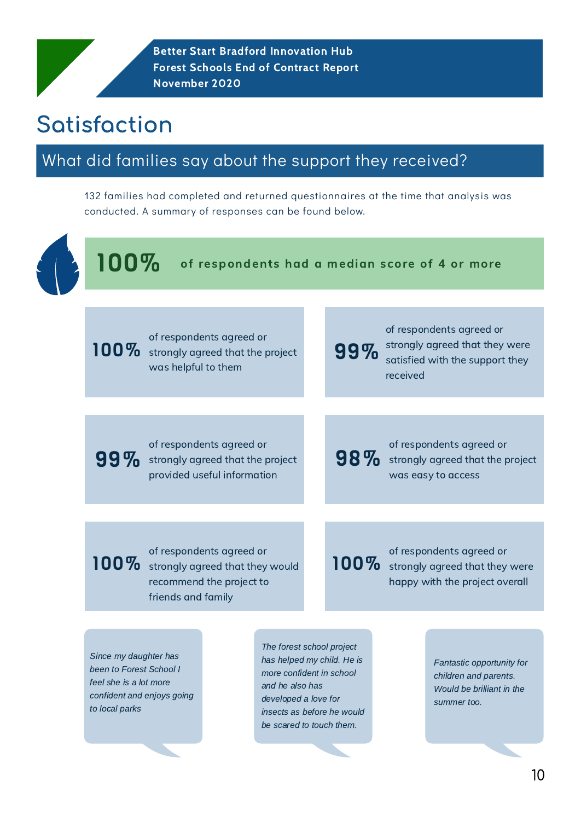## What did families say about the support they received?

# Satisfaction

100%

of respondents had a median score of 4 or more



132 families had completed and returned questionnaires at the time that analysis was conducted. A summary of responses can be found below.

Better Start Bradford Innovation Hub Forest Schools End of Contract Report November 2020

100% of respondents agreed or strongly agreed that the project was helpful to them

of respondents agreed or strongly agreed that they were satisfied with the support they received 99%

of respondents agreed or strongly agreed that the project provided useful information

98% of respondents agreed or strongly agreed that the project was easy to access

100% of respondents agreed or strongly agreed that they would

#### recommend the project to friends and family

100% of respondents agreed or strongly agreed that they were

#### happy with the project overall

Since my daughter has been to Forest School I feel she is a lot more confident and enjoys going to local parks

The forest school project has helped my child. He is more confident in school and he also has developed a love for insects as before he would be scared to touch them.

Fantastic opportunity for children and parents. Would be brilliant in the summer too.

99%